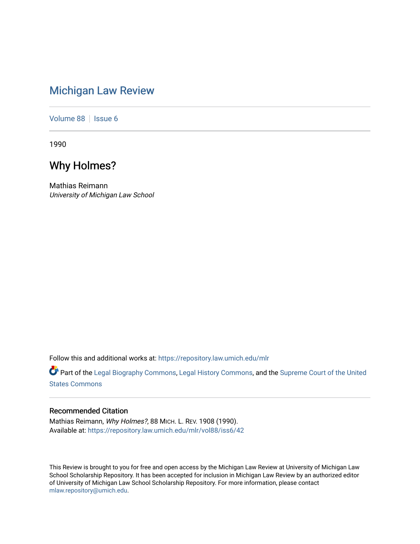# [Michigan Law Review](https://repository.law.umich.edu/mlr)

[Volume 88](https://repository.law.umich.edu/mlr/vol88) | [Issue 6](https://repository.law.umich.edu/mlr/vol88/iss6)

1990

## Why Holmes?

Mathias Reimann University of Michigan Law School

Follow this and additional works at: [https://repository.law.umich.edu/mlr](https://repository.law.umich.edu/mlr?utm_source=repository.law.umich.edu%2Fmlr%2Fvol88%2Fiss6%2F42&utm_medium=PDF&utm_campaign=PDFCoverPages) 

Part of the [Legal Biography Commons,](http://network.bepress.com/hgg/discipline/834?utm_source=repository.law.umich.edu%2Fmlr%2Fvol88%2Fiss6%2F42&utm_medium=PDF&utm_campaign=PDFCoverPages) [Legal History Commons](http://network.bepress.com/hgg/discipline/904?utm_source=repository.law.umich.edu%2Fmlr%2Fvol88%2Fiss6%2F42&utm_medium=PDF&utm_campaign=PDFCoverPages), and the Supreme Court of the United [States Commons](http://network.bepress.com/hgg/discipline/1350?utm_source=repository.law.umich.edu%2Fmlr%2Fvol88%2Fiss6%2F42&utm_medium=PDF&utm_campaign=PDFCoverPages) 

### Recommended Citation

Mathias Reimann, Why Holmes?, 88 MICH. L. REV. 1908 (1990). Available at: [https://repository.law.umich.edu/mlr/vol88/iss6/42](https://repository.law.umich.edu/mlr/vol88/iss6/42?utm_source=repository.law.umich.edu%2Fmlr%2Fvol88%2Fiss6%2F42&utm_medium=PDF&utm_campaign=PDFCoverPages) 

This Review is brought to you for free and open access by the Michigan Law Review at University of Michigan Law School Scholarship Repository. It has been accepted for inclusion in Michigan Law Review by an authorized editor of University of Michigan Law School Scholarship Repository. For more information, please contact [mlaw.repository@umich.edu.](mailto:mlaw.repository@umich.edu)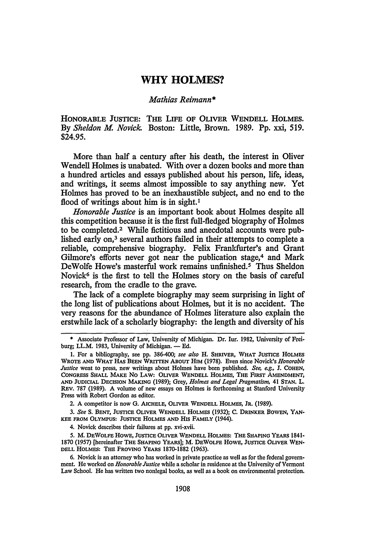### **WHY HOLMES?**

#### *Mathias Reimann\**

HONORABLE JUSTICE: THE LIFE OF OLIVER WENDELL HOLMES. By *Sheldon M. Novick.* Boston: Little, Brown. 1989. Pp. xxi, 519. \$24.95.

More than half a century after his death, the interest in Oliver Wendell Holmes is unabated. With over a dozen books and more than a hundred articles and essays published about his person, life, ideas, and writings, it seems almost impossible to say anything new. Yet Holmes has proved to be an inexhaustible subject, and no end to the flood of writings about him is in sight.<sup>1</sup>

*Honorable Justice* is an important book about Holmes despite all this competition because it is the first full-fledged biography of Holmes to be completed.2 While fictitious and anecdotal accounts were published early on,3 several authors failed in their attempts to complete a reliable, comprehensive biography. Felix Frankfurter's and Grant Gilmore's efforts never got near the publication stage,<sup>4</sup> and Mark DeWolfe Howe's masterful work remains unfinished.<sup>5</sup> Thus Sheldon Novick6 is the first to tell the Holmes story on the basis of careful research, from the cradle to the grave.

The lack of a complete biography may seem surprising in light of the long list of publications about Holmes, but it is no accident. The very reasons for the abundance of Holmes literature also explain the erstwhile lack of a scholarly biography: the length and diversity of his

2. A competitor is now G. AICHELE, OLIVER WENDELL HOLMES, JR. (1989).

3. *See* s. BENT, JUSTICE OLIVER WENDELL HOLMES (1932); c. DRINKER BOWEN, YAN· KEE FROM OLYMPUS: JUSTICE HOLMES AND HIS FAMILY (1944).

4. Novick describes their failures at pp. xvi-xvii.

5. M. DEWOLFE HOWE, JUSTICE OLIVER WENDELL HOLMES: THE SHAPING YEARS 1841· 1870 (1957) [hereinafter THE SHAPING YEARS]; M. DEWOLFE HOWE, JUSTICE OLIVER WEN· DELL HOLMES: THE PROVING YEARS 1870-1882 (1963).

6. Novick is an attorney who has worked in private practice as well as for the federal government. He worked on *Honorable Justice* while a scholar in residence at the University of Vermont Law School. He has written two nonlegal books, as well as a book on environmental protection.

<sup>•</sup> Associate Professor of Law, University of Michigan. Dr. Iur. 1982, University of Freiburg; LL.M. 1983, University of Michigan. - Ed.

<sup>1.</sup> For a bibliography, see pp. 386-400; *see also* H. SHRIVER, WHAT JU5TICE HOLMES WROTE AND WHAT HAS BEEN WRITTEN ABOUT HIM (1978). Even since Novick's *Honorable Justice* went to press, new writings about Holmes have been published. *See, e.g.*, J. COHEN, CoNGRESS SHALL MAKE No LAW: OLIVER WENDELL HOLMES, THE FIRST AMENDMENT, AND JUDJCIAL DECJSJON MAKING (1989); Grey, *Holmes and Legal Pragmatism,* 41 STAN. L. REv. 787 (1989). A volume of new essays on Holmes is forthcoming at Stanford University Press with Robert Gordon as editor.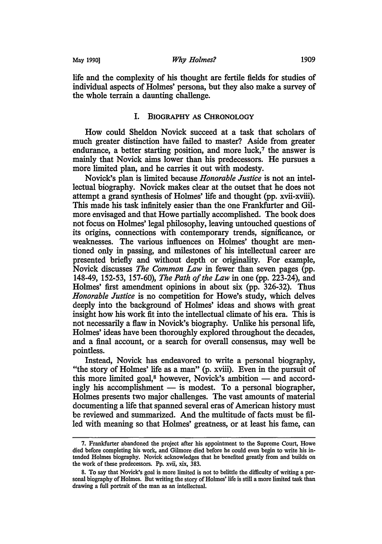life and the complexity of his thought are fertile fields for studies of individual aspects of Holmes' persona, but they also make a survey of the whole terrain a daunting challenge.

#### I. BIOGRAPHY AS CHRONOLOGY

How could Sheldon Novick succeed at a task that scholars of much greater distinction have failed to master? Aside from greater endurance, a better starting position, and more luck, $<sup>7</sup>$  the answer is</sup> mainly that Novick aims lower than his predecessors. He pursues a more limited plan, and he carries it out with modesty.

Novick's plan is limited because *Honorable Justice* is not an intellectual biography. Novick makes clear at the outset that he does not attempt a grand synthesis of Holmes' life and thought (pp. xvii-xviii). This made his task infinitely easier than the one Frankfurter and Gilmore envisaged and that Howe partially accomplished. The book does not focus on Holmes' legal philosophy, leaving untouched questions of its origins, connections with contemporary trends, significance, or weaknesses. The various influences on Holmes' thought are mentioned only in passing, and milestones of his intellectual career are presented briefly and without depth or originality. For example, Novick discusses *The Common Law* in fewer than seven pages (pp. 148-49, 152-53, 157-60), *The Path of the Law* in one (pp. 223-24), and Holmes' first amendment opinions in about six (pp. 326-32). Thus *Honorable Justice* is no competition for Howe's study, which delves deeply into the background of Holmes' ideas and shows with great insight how his work fit into the intellectual climate of his era. This is not necessarily a flaw in Novick's biography. Unlike his personal life, Holmes' ideas have been thoroughly explored throughout the decades, and a final account, or a search for overall consensus, may well be pointless.

Instead, Novick has endeavored to write a personal biography, "the story of Holmes' life as a man" (p. xviii). Even in the pursuit of this more limited goal, $8$  however, Novick's ambition  $-$  and accordingly his accomplishment  $-$  is modest. To a personal biographer, Holmes presents two major challenges. The vast amounts of material documenting a life that spanned several eras of American history must be reviewed and summarized. And the multitude of facts must be filled with meaning so that Holmes' greatness, or at least his fame, can

<sup>7.</sup> Frankfurter abandoned the project after his appointment to the Supreme Court, Howe died before completing his work, and Gilmore died before he could even begin to write his intended Holmes biography. Novick acknowledges that he benefited greatly from and builds on the work of these predecessors. Pp. xvii, xix, 383.

<sup>8.</sup> To say that Novick's goal is more limited is not to belittle the difficulty of writing a personal biography of Holmes. But writing the story of Holmes' life is still a more limited task than drawing a full portrait of the man as an intellectual.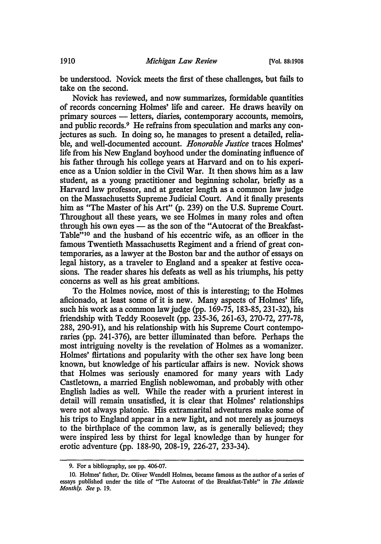be understood. Novick meets the first of these challenges, but fails to take on the second.

Novick has reviewed, and now summarizes, formidable quantities of records concerning Holmes' life and career. He draws heavily on primary sources — letters, diaries, contemporary accounts, memoirs, and public records.<sup>9</sup> He refrains from speculation and marks any conjectures as such. In doing so, he manages to present a detailed, reliable, and well-documented account. *Honorable Justice* traces Holmes' life from his New England boyhood under the dominating influence of his father through his college years at Harvard and on to his experience as a Union soldier in the Civil War. It then shows him as a law student, as a young practitioner and beginning scholar, briefly as a Harvard law professor, and at greater length as a common law judge on the Massachusetts Supreme Judicial Court. And it finally presents him as "The Master of his Art" (p. 239) on the U.S. Supreme Court. Throughout all these years, we see Holmes in many roles and often through his own eyes  $-$  as the son of the "Autocrat of the Breakfast-Table"10 and the husband of his eccentric wife, as an officer in the famous Twentieth Massachusetts Regiment and a friend of great contemporaries, as a lawyer at the Boston bar and the author of essays on legal history, as a traveler to England and a speaker at festive occasions. The reader shares his defeats as well as his triumphs, his petty concerns as well as his great ambitions.

To the Holmes novice, most of this is interesting; to the Holmes aficionado, at least some of it is new. Many aspects of Holmes' life, such his work as a common law judge (pp. 169-75, 183-85, 231-32), his friendship with Teddy Roosevelt (pp. 235-36, 261-63, 270-72, 277-78, 288, 290-91), and his relationship with his Supreme Court contemporaries (pp. 241-376), are better illuminated than before. Perhaps the most intriguing novelty is the revelation of Holmes as a womanizer. Holmes' flirtations and popularity with the other sex have long been known, but knowledge of his particular affairs is new. Novick shows that Holmes was seriously enamored for many years with Lady Castletown, a married English noblewoman, and probably with other English ladies as well. While the reader with a prurient interest in detail will remain unsatisfied, it is clear that Holmes' relationships were not always platonic. His extramarital adventures make some of his trips to England appear in a new light, and not merely as journeys to the birthplace of the common law, as is generally believed; they were inspired less by thirst for legal knowledge than by hunger for erotic adventure (pp. 188-90, 208-19, 226-27, 233-34).

<sup>9.</sup> For a bibliography, see pp. 406-07.

<sup>10.</sup> Holmes' father, Dr. Oliver Wendell Holmes, became famous as the author of a series of essays published under the title of "The Autocrat of the Breakfast-Table" in *The Atlantic Monthly. See* p. 19.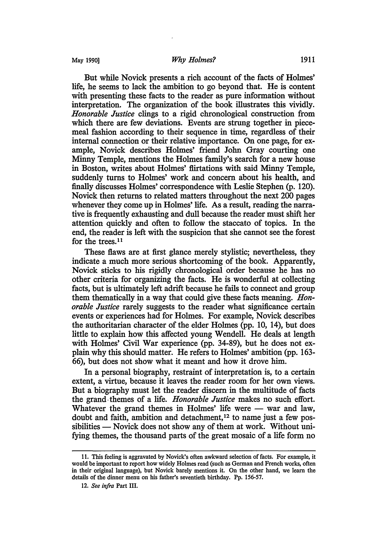But while Novick presents a rich account of the facts of Holmes' life, he seems to lack the ambition to go beyond that. He is content with presenting these facts to the reader as pure information without interpretation. The organization of the book illustrates this vividly. *Honorable Justice* clings to a rigid chronological construction from which there are few deviations. Events are strung together in piecemeal fashion according to their sequence in time, regardless of their internal connection or their relative importance. On one page, for example, Novick describes Holmes' friend John Gray courting one Minny Temple, mentions the Holmes family's search for a new house in Boston, writes about Holmes' flirtations with said Minny Temple. suddenly turns to Holmes' work and concern about his health, and finally discusses Holmes' correspondence with Leslie Stephen (p. 120). Novick then returns to related matters throughout the next 200 pages whenever they come up in Holmes' life. As a result, reading the narrative is frequently exhausting and dull because the reader must shift her attention quickly and often to follow the staccato of topics. In the end, the reader is left with the suspicion that she cannot see the forest for the trees. <sup>11</sup>

These flaws are at first glance merely stylistic; nevertheless, they indicate a much more serious shortcoming of the book. Apparently, Novick sticks to his rigidly chronological order because he has no other criteria for organizing the facts. He is wonderful at collecting facts, but is ultimately left adrift because he fails to connect and group them thematically in a way that could give these facts meaning. *Honorable Justice* rarely suggests to the reader what significance certain events or experiences had for Holmes. For example, Novick describes the authoritarian character of the elder Holmes (pp. 10, 14), but does little to explain how this affected young Wendell. He deals at length with Holmes' Civil War experience (pp. 34-89), but he does not explain why this should matter. He refers to Holmes' ambition (pp. 163- 66), but does not show what it meant and how it drove him.

In a personal biography, restraint of interpretation is, to a certain extent, a virtue, because it leaves the reader room for her own views. But a biography must let the reader discern in the multitude of facts the grand. themes of a life. *Honorable Justice* makes no such effort. Whatever the grand themes in Holmes' life were  $-$  war and law, doubt and faith, ambition and detachment,<sup>12</sup> to name just a few possibilities — Novick does not show any of them at work. Without unifying themes, the thousand parts of the great mosaic of a life form no

<sup>11.</sup> This feeling is aggravated by Novick's often awkward selection of facts. For example, it would be important to report how widely Holmes read (such as German and French works, often in their original language), but Novick barely mentions it. On the other hand, we learn the details of the dinner menu on his father's seventieth birthday. Pp. 156-57.

<sup>12.</sup> *See infra* Part III.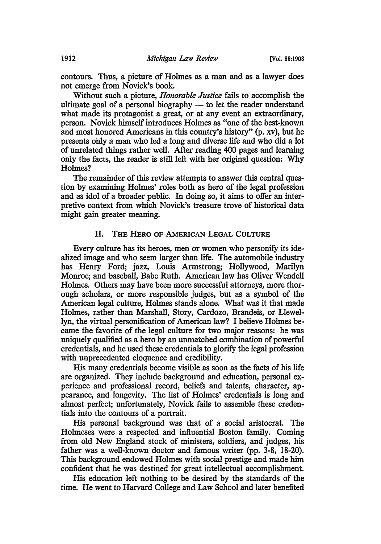contours. Thus, a picture of Holmes as a man and as a lawyer does not emerge from Novick's book.

Without such a picture, *Honorable Justice* fails to accomplish the ultimate goal of a personal biography  $-$  to let the reader understand what made its protagonist a great, or at any event an extraordinary, person. Novick himself introduces Holmes as "one of the best-known and most honored Americans in this country's history" (p. xv), but he presents ohly a man who led a long and diverse life and who did a lot of unrelated things rather well. After reading 400 pages and learning only the facts, the reader is still left with her original question: Why Holmes?

The remainder of this review attempts to answer this central question by examining Holmes' roles both as hero of the legal profession and as idol of a broader public. In doing so, it aims to offer an interpretive context from which Novick's treasure trove of historical data might gain greater meaning.

#### II. THE HERO OF AMERICAN LEGAL CULTURE

Every culture has its heroes, men or women who personify its idealized image and who seem larger than life. The automobile industry has Henry Ford; jazz, Louis Armstrong; Hollywood, Marilyn Monroe; and baseball, Babe Ruth. American law has Oliver Wendell Holmes. Others may have been more successful attorneys, more thorough scholars, or more responsible judges, but as a symbol of the American legal culture, Holmes stands alone. What was it that made Holmes, rather than Marshall, Story, Cardozo, Brandeis, or Llewellyn, the virtual personification of American law? I believe Holmes became the favorite of the legal culture for two major reasons: he was uniquely qualified as a hero by an unmatched combination of powerful credentials, and he used these credentials to glorify the legal profession with unprecedented eloquence and credibility.

His many credentials become visible as soon as the facts of his life are organized. They include background and education, personal experience and professional record, beliefs and talents, character, appearance, and longevity. The list of Holmes' credentials is long and almost perfect; unfortunately, Novick fails to assemble these credentials into the contours of a portrait.

His personal background was that of a social aristocrat. The Holmeses were a respected and influential Boston family. Coming from old New England stock of ministers, soldiers, and judges, his father was a well-known doctor and famous writer (pp. 3-8, 18-20). This background endowed Holmes with social prestige and made him confident that he was destined for great intellectual accomplishment.

His education left nothing to be desired by the standards of the time. He went to Harvard College and Law School and later benefited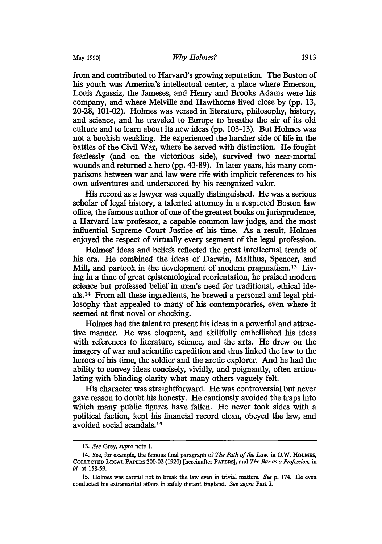from and contributed to Harvard's growing reputation. The Boston of his youth was America's intellectual center, a place where Emerson, Louis Agassiz, the Jameses, and Henry and Brooks Adams were his company, and where Melville and Hawthorne lived close by (pp. 13, 20-28, 101-02). Holmes was versed in literature, philosophy, history, and science, and he traveled to Europe to breathe the air of its old culture and to learn about its new ideas (pp. 103-13). But Holmes was not a bookish weakling. He experienced the harsher side of life in the battles of the Civil War, where he served with distinction. He fought fearlessly (and on the victorious side), survived two near-mortal wounds and returned a hero (pp. 43-89). In later years, his many comparisons between war and law were rife with implicit references to his own adventures and underscored by his recognized valor.

His record as a lawyer was equally distinguished. He was a serious scholar of legal history, a talented attorney in a respected Boston law office, the famous author of one of the greatest books on jurisprudence, a Harvard law professor, a capable common law judge, and the most influential Supreme Court Justice of his time. As a result, Holmes enjoyed the respect of virtually every segment of the legal profession.

Holmes' ideas and beliefs reflected the great intellectual trends of his era. He combined the ideas of Darwin, Malthus, Spencer, and Mill, and partook in the development of modern pragmatism.13 Living in a time of great epistemological reorientation, he praised modern science but professed belief in man's need for traditional, ethical ideals.14 From all these ingredients, he brewed a personal and legal philosophy that appealed to many of his contemporaries, even where it seemed at first novel or shocking.

Holmes had the talent to present his ideas in a powerful and attractive manner. He was eloquent, and skillfully embellished his ideas with references to literature, science, and the arts. He drew on the imagery of war and scientific expedition and thus linked the law to the heroes of his time, the soldier and the arctic explorer. And he had the ability to convey ideas concisely, vividly, and poignantly, often articulating with blinding clarity what many others vaguely felt.

His character was straightforward. He was controversial but never gave reason to doubt his honesty. He cautiously avoided the traps into which many public figures have fallen. He never took sides with a political faction, kept his financial record clean, obeyed the law, and avoided social scandals. <sup>15</sup>

<sup>13.</sup> *See* Grey, *supra* note 1.

<sup>14.</sup> See, for example, the famous final paragraph of *The Path of the Law,* in O.W. HOLMES, CoLLECTED LEGAL PAPERS 200-02 (1920) [hereinafter PAPERS], and *The Bar as a Profession,* in id. at 158·59.

<sup>15.</sup> Holmes was careful not to break the law even in trivial matters. *See* p. 174. He even conducted his extramarital affairs in safely distant England. *See supra* Part I.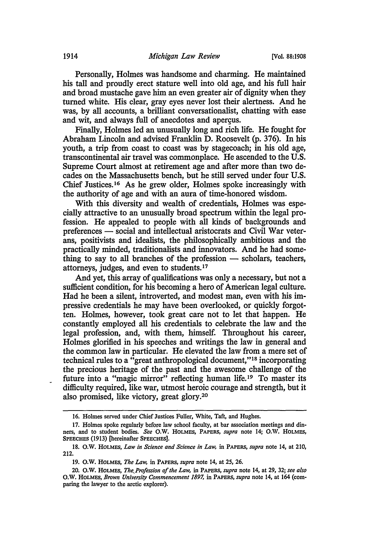Personally, Holmes was handsome and charming. He maintained his tall and proudly erect stature well into old age, and his full hair and broad mustache gave him an even greater air of dignity when they turned white. His clear, gray eyes never lost their alertness. And he was, by all accounts, a brilliant conversationalist, chatting with ease and wit, and always full of anecdotes and apergus.

Finally, Holmes led an unusually long and rich life. He fought for Abraham Lincoln and advised Franklin D. Roosevelt (p. 376). In his youth, a trip from coast to coast was by stagecoach; in his old age, transcontinental air travel was commonplace. He ascended to the U.S. Supreme Court almost at retirement age and after more than two decades on the Massachusetts bench, but he still served under four U.S. Chief Justices. 16 As he grew older, Holmes spoke increasingly with the authority of age and with an aura of time-honored wisdom.

With this diversity and wealth of credentials, Holmes was especially attractive to an unusually broad spectrum within the legal profession. He appealed to people with all kinds of backgrounds and preferences - social and intellectual aristocrats and Civil War veterans, positivists and idealists, the philosophically ambitious and the practically minded, traditionalists and innovators. And he had something to say to all branches of the profession  $-$  scholars, teachers, attorneys, judges, and even to students. <sup>17</sup>

And yet, this array of qualifications was only a necessary, but not a sufficient condition, for his becoming a hero of American legal culture. Had he been a silent, introverted, and modest man, even with his impressive credentials he may have been overlooked, or quickly forgotten. Holmes, however, took great care not to let that happen. He constantly employed all his credentials to celebrate the law and the legal profession, and, with them, himself. Throughout his career, Holmes glorified in his speeches and writings the law in general and the common law in particular. He elevated the law from a mere set of technical rules to a "great anthropological document," 18 incorporating the precious heritage of the past and the awesome challenge of the future into a "magic mirror" reflecting human life.<sup>19</sup> To master its difficulty required, like war, utmost heroic courage and strength, but it also promised, like victory, great glory.20

<sup>16.</sup> Holmes served under Chief Justices Fuller, White, Taft, and Hughes.

<sup>17.</sup> Holmes spoke regularly before law school faculty, at bar association meetings and dinners, and to student bodies. *See* O.W. HOLMES, PAPERS, *supra* note 14; O.W. HOLMES, SPEECHES (1913) [hereinafter SPEECHES].

<sup>18.</sup> O.W. HOLMES, *Law in Science and Science in Law,* in PAPERS, *supra* note 14, at 210, 212.

<sup>19.</sup> O.W. HOLMES, *The Law,* in PAPERS, *supra* note 14, at 25, 26.

<sup>20.</sup> O.W. HOLMES, *The Profession of the Law*, in PAPERS, *supra* note 14, at 29, 32; *see also* O.W. HOLMES, *Brown University Commencement 1897,* in PAPERS, *supra* note 14, at 164 (comparing the lawyer to the arctic explorer).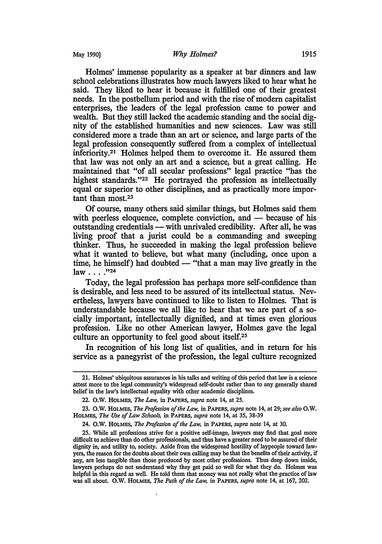Holmes' immense popularity as a speaker at bar dinners and law school celebrations illustrates how much lawyers liked to hear what he said. They liked to hear it because it fulfilled one of their greatest needs. In the postbellum period and with the rise of modem capitalist enterprises, the leaders of the legal profession came to power and wealth. But they still lacked the academic standing and the social dignity of the established humanities and new sciences. Law was still considered more a trade than an art or science, and large parts of the legal profession consequently suffered from a complex of intellectual inferiority.21 Holmes helped them to overcome it. He assured them that law was not only an art and a science, but a great calling. He maintained that "of all secular professions" legal practice "has the highest standards."<sup>22</sup> He portrayed the profession as intellectually equal or superior to other disciplines, and as practically more important than most.<sup>23</sup>

Of course, many others said similar things, but Holmes said them with peerless eloquence, complete conviction, and  $-$  because of his outstanding credentials - with unrivaled credibility. After all, he was living proof that a jurist could be a commanding and sweeping thinker. Thus, he succeeded in making the legal profession believe what it wanted to believe, but what many (including, once upon a time, he himself) had doubted  $-$  "that a man may live greatly in the law . . . . "24

Today, the legal profession has perhaps more self-confidence than is desirable, and less need to be assured of its intellectual status. Nevertheless, lawyers have continued to like to listen to Holmes. That is understandable because we all like to hear that we are part of a socially important, intellectually dignified, and at times even glorious profession. Like no other American lawyer, Holmes gave the legal culture an opportunity to feel good about itself.<sup>25</sup>

In recognition of his long list of qualities, and in return for his service as a panegyrist of the profession, the legal culture recognized

<sup>21.</sup> Holmes' ubiquitous assurances in his talks and writing of this period that law is a science attest more to the legal community's widespread self-doubt rather than to any generally shared belief in the law's intellectual equality with other academic disciplines.

<sup>22.</sup> O.W. HOLMES, *The Law,* in PAPERS, *supra* note 14, at 25.

<sup>23.</sup> O.W. HOLMES, *The Profession of the Law,* in PAPERS, *supra* note 14, at 29; *see also* O.W. HOLMES, *The Use of Law Schools,* in PAPERS, *supra* note 14, at 35, 38-39

<sup>24.</sup> O.W. HOLMES, *The Profession of the Law,* in PAPERS, *supra* note 14, at 30.

<sup>25.</sup> While all professions strive for a positive self-image, lawyers may find that goal more difficult to achieve than do other professionals, and thus have a greater need to be assured of their dignity in, and utility to, society. Aside from the widespread hostility of laypeople toward lawyers, the reason for the doubts about their own calling may be that the benefits of their activity, if any, are less tangible than those produced by most other professions. Thus deep down inside, lawyers perhaps do not understand why they get paid so well for what they do. Holmes was helpful in this regard as well. He told them that money was not really what the practice of law was all about. O.W. HOLMES, *The Path of the Law,* in PAPERS, *supra* note 14, at 167, 202.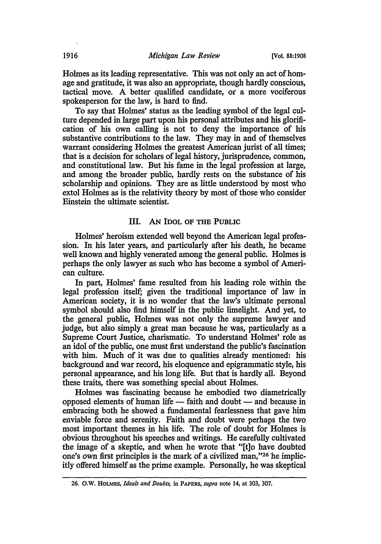Holmes as its leading representative. This was not only an act of homage and gratitude, it was also an appropriate, though hardly conscious, tactical move. A better qualified candidate, or a more vociferous spokesperson for the law, is hard to find.

To say that Holmes' status as the leading symbol of the legal culture depended in large part upon his personal attributes and his glorification of his own calling is not to deny the importance of his substantive contributions to the law. They may in and of themselves warrant considering Holmes the greatest American jurist of all times; that is a decision for scholars of legal history, jurisprudence, common, and constitutional law. But his fame in the legal profession at large, and among the broader public, hardly rests on the substance of his scholarship and opinions. They are as little understood by most who extol Holmes as is the relativity theory by most of those who consider Einstein the ultimate scientist.

#### III. AN IDOL OF THE PUBLIC

Holmes' heroism extended well beyond the American legal profession. In his later years, and particularly after his death, he became well known and highly venerated among the general public. Holmes is perhaps the only lawyer as such who has become a symbol of American culture.

In part, Holmes' fame resulted from his leading role within the legal profession itself; given the traditional importance of law in American society, it is no wonder that the law's ultimate personal symbol should also find himself in the public limelight. And yet, to the general public, Holmes was not only the supreme lawyer and judge, but also simply a great man because he was, particularly as a Supreme Court Justice, charismatic. To understand Holmes' role as an idol of the public, one must first understand the public's fascination with him. Much of it was due to qualities already mentioned: his background and war record, his eloquence and epigrammatic style, his personal appearance, and his long life. But that is hardly all. Beyond these traits, there was something special about Holmes.

Holmes was fascinating because he embodied two diametrically opposed elements of human life  $-$  faith and doubt  $-$  and because in embracing both he showed a fundamental fearlessness that gave him enviable force and serenity. Faith and doubt were perhaps the two most important themes in his life. The role of doubt for Holmes is obvious throughout his speeches and writings. He carefully cultivated the image of a skeptic, and when he wrote that "[t]o have doubted one's own first principles is the mark of a civilized man,"26 he implicitly offered himself as the prime example. Personally, he was skeptical

<sup>26.</sup> O.W. HOLMES, *Ideals and Doubts,* in PAPERS, *supra* note 14, at 303, 307.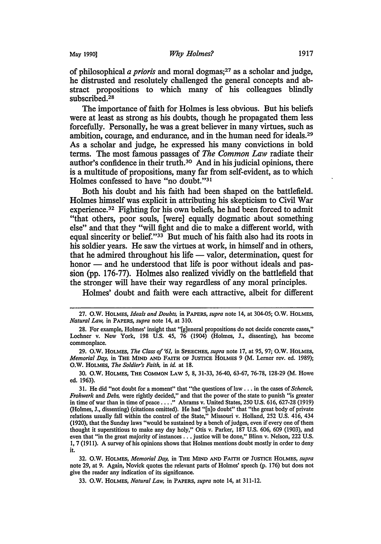of philosophical *a prioris* and moral dogmas;27 as a scholar and judge, he distrusted and resolutely challenged the general concepts and abstract propositions to which many of his colleagues blindly subscribed.28

The importance of faith for Holmes is less obvious. But his beliefs were at least as strong as his doubts, though he propagated them less forcefully. Personally, he was a great believer in many virtues, such as ambition, courage, and endurance, and in the human need for ideals.<sup>29</sup> As a scholar and judge, he expressed his many convictions in bold terms. The most famous passages of *The Common Law* radiate their author's confidence in their truth. 30 And in his judicial opinions, there is a multitude of propositions, many far from self-evident, as to which Holmes confessed to have "no doubt."31

Both his doubt and his faith had been shaped on the battlefield. Holmes himself was explicit in attributing his skepticism to Civil War experience.<sup>32</sup> Fighting for his own beliefs, he had been forced to admit "that others, poor souls, [were] equally dogmatic about something else" and that they "will fight and die to make a different world, with equal sincerity or belief."<sup>33</sup> But much of his faith also had its roots in his soldier years. He saw the virtues at work, in himself and in others, that he admired throughout his life  $-$  valor, determination, quest for honor — and he understood that life is poor without ideals and passion (pp. 176-77). Holmes also realized vividly on the battlefield that the stronger will have their way regardless of any moral principles.

Holmes' doubt and faith were each attractive, albeit for different

30. o.w. HOLMES, THE COMMON LAW 5, 8, 31-33, 36-40, 63-67, 76-78, 128-29 (M. Howe ed. 1963).

32. 0.W. HOLMES, *Memorial Day,* in THE MIND AND FAITH OF JUSTICE HOLMES, *supra*  note 29, at 9. Again, Novick quotes the relevant parts of Holmes' speech (p. 176) but does not give the reader any indication of its significance.

<sup>27.</sup> o.w. HOLMES, *Ideals and Doubts,* in PAPERS, *supra* note 14, at 304-05; o.w. HOLMES, *Natural Law,* in PAPERS, *supra* note 14, at 310.

<sup>28.</sup> For example, Holmes' insight that "[g]eneral propositions do not decide concrete cases," Lochner v. New York, 198 U.S. 45, 76 (1904) (Holmes, J., dissenting), has become commonplace.

<sup>29.</sup> o.w. HOLMES, *The Class of '61,* in SPEECHES, *supra* note 17, at 95, 97; o.w. HOLMES, *Memorial Day,* in THE MIND AND FAITH OF JUSTICE HOLMES 9 (M. Lerner rev. ed. 1989); 0.W. HOLMES, *The Soldier's Faith,* in *id.* at 18.

<sup>31.</sup> He did "not doubt for a moment" that "the questions oflaw ... in the cases of *Schenck, Frohwerk* and *Debs*, were rightly decided," and that the power of the state to punish "is greater in time of peace ...." Abrams v. United States, 250 U.S. 616, 627-28 (1919) (Holmes, J., dissenting) (citations omitted). He had "[n]o doubt" that "the great body of private relations usually fall within the control of the State," Missouri v. Holland, 252 U.S. 416, 434 (1920), that the Sunday laws "would be sustained by a bench of judges, even if every one of them thought it superstitious to make any day holy," Otis v. Parker, 187 U.S. 606, 609 (1903), and even that "in the great majority of instances ... justice will be done," Blinn v. Nelson, 222 U.S. 1, 7 (1911). A survey of his opinions shows that Holmes mentions doubt mostly in order to deny it.

<sup>33.</sup> O.W. HOLMES, *Natural Law,* in PAPERS, *supra* note 14, at 311-12.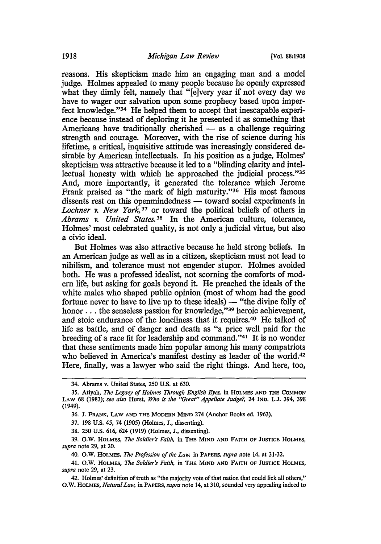reasons. His skepticism made him an engaging man and a model judge. Holmes appealed to many people because he openly expressed what they dimly felt, namely that "[e]very year if not every day we have to wager our salvation upon some prophecy based upon imperfect knowledge."34 He helped them to accept that inescapable experience because instead of deploring it he presented it as something that Americans have traditionally cherished  $-$  as a challenge requiring strength and courage. Moreover, with the rise of science during his lifetime, a critical, inquisitive attitude was increasingly considered desirable by American intellectuals. In his position as a judge, Holmes' skepticism was attractive because it led to a "blinding clarity and intellectual honesty with which he approached the judicial process."35 And, more importantly, it generated the tolerance which Jerome Frank praised as "the mark of high maturity."36 His most famous dissents rest on this openmindedness — toward social experiments in Lochner v. New York,<sup>37</sup> or toward the political beliefs of others in *Abrams v. United States.* 38 In the American culture, tolerance, Holmes' most celebrated quality, is not only a judicial virtue, but also a civic ideal.

But Holmes was also attractive because he held strong beliefs. In an American judge as well as in a citizen, skepticism must not lead to nihilism, and tolerance must not engender stupor. Holmes avoided both. He was a professed idealist, not scorning the comforts of modern life, but asking for goals beyond it. He preached the ideals of the white males who shaped public opinion (most of whom had the good fortune never to have to live up to these ideals)  $-$  "the divine folly of honor ... the senseless passion for knowledge,"<sup>39</sup> heroic achievement, and stoic endurance of the loneliness that it requires.40 He talked of life as battle, and of danger and death as "a price well paid for the breeding of a race fit for leadership and command."41 It is no wonder that these sentiments made him popular among his many compatriots who believed in America's manifest destiny as leader of the world.<sup>42</sup> Here, finally, was a lawyer who said the right things. And here, too,

37. 198 U.S. 45, 74 (1905) (Holmes, J., dissenting).

38. 250 U.S. 616, 624 (1919) (Holmes, J., dissenting).

39. o.w. HOLMES, *The Soldier's Faith,* in THE MIND AND FAITH OF JUSTICE HOLMES, *supra* note 29, at 20.

<sup>34.</sup> Abrams v. United States, 250 U.S. at 630.

<sup>35.</sup> Atiyah, *The Legacy of Holmes Through English Eyes,* in HOLMES AND THE COMMON LAW 68 (1983); *see also* Hurst, *Who is the "Great" Appellate Judge?,* 24 IND. L.J. 394, 398 (1949).

<sup>36.</sup> J. FRANK, LAW AND THE MODERN MIND 274 (Anchor Books ed. 1963).

<sup>40.</sup> O.W. HOLMES, *The Profession of the Law,* in PAPERS, *supra* note 14, at 31-32.

<sup>41.</sup> o.w. HOLMES, *The Soldier's Faith,* in THE MIND AND FAITH OF JUSTICE HOLMES, *supra* note 29, at 23.

<sup>42.</sup> Holmes' definition of truth as "the majority vote of that nation that could lick all others," O.W. HOLMES, *Natura/Law,* in PAPERS, *supra* note 14, at 310, sounded very appealing indeed to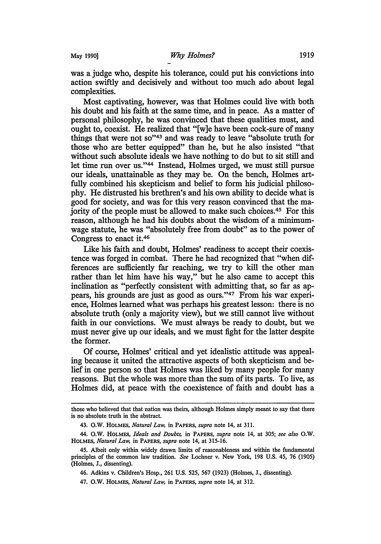was a judge who, despite his tolerance, could put his convictions into action swiftly and decisively and without too much ado about legal complexities.

Most captivating, however, was that Holmes could live with both his doubt and his faith at the same time, and in peace. As a matter of personal philosophy, he was convinced that these qualities must, and ought to, coexist. He realized that "[w]e have been cock-sure of many things that were not so"43 and was ready to leave "absolute truth for those who are better equipped" than he, but he also insisted "that without such absolute ideals we have nothing to do but to sit still and let time run over us. "44 Instead, Holmes urged, we must still pursue our ideals, unattainable as they may be. On the bench, Holmes artfully combined his skepticism and belief to form his judicial philosophy. He distrusted his brethren's and his own ability to decide what is good for society, and was for this very reason convinced that the majority of the people must be allowed to make such choices.<sup>45</sup> For this reason, although he had his doubts about the wisdom of a minimumwage statute, he was "absolutely free from doubt" as to the power of Congress to enact it.46

Like his faith and doubt, Holmes' readiness to accept their coexistence was forged in combat. There he had recognized that "when differences are sufficiently far reaching, we try to kill the other man rather than let him have his way," but he also came to accept this inclination as "perfectly consistent with admitting that, so far as appears, his grounds are just as good as ours."47 From his war experience, Holmes learned what was perhaps his greatest lesson: there is no absolute truth (only a majority view), but we still cannot live without faith in our convictions. We must always be ready to doubt, but we must never give up our ideals, and we must fight for the latter despite the former.

Of course, Holmes' critical and yet idealistic attitude was appealing because it united the attractive aspects of both skepticism and belief in one person so that Holmes was liked by many people for many reasons. But the whole was more than the sum of its parts. To live, as Holmes did, at peace with the coexistence of faith and doubt has a

those who believed that that nation was theirs, although Holmes simply meant to say that there is no absolute truth in the abstract.

<sup>43.</sup> O.W. HOLMES, *Natural Law,* in PAPERS, *supra* note 14, at 311.

<sup>44.</sup> O.W. HOLMES, *Ideals and Doubts,* in PAPERS, *supra* note 14, at 305; *see also* O.W. HOLMES, *Natural Law,* in PAPERS, *supra* note 14, at 315-16.

<sup>45.</sup> Albeit only within widely drawn limits of reasonableness and within the fundamental principles of the common law tradition. *See* Lochner v. New York, 198 U.S. 45, 76 (1905) (Holmes, J., dissenting).

<sup>46.</sup> Adkins v. Children's Hosp., 261 U.S. 525, 567 (1923) (Holmes, J., dissenting).

<sup>47.</sup> O.W. HOLMES, *Natural Law,* in PAPERS, *supra* note 14, at 312.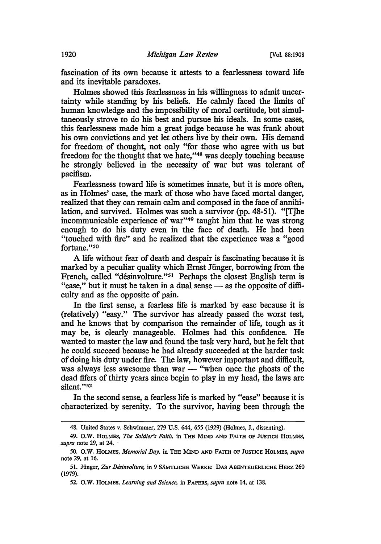fascination of its own because it attests to a fearlessness toward life and its inevitable paradoxes.

Holmes showed this fearlessness in his willingness to admit uncertainty while standing by his beliefs. He calmly faced the limits of human knowledge and the impossibility of moral certitude, but simultaneously strove to do his best and pursue his ideals. In some cases, this fearlessness made him a great judge because he was frank about his own convictions and yet let others live by their own. His demand for freedom of thought, not only "for those who agree with us but freedom for the thought that we hate,"48 was deeply touching because he strongly believed in the necessity of war but was tolerant of pacifism.

Fearlessness toward life is sometimes innate, but it is more often, as in Holmes' case, the mark of those who have faced mortal danger, realized that they can remain calm and composed in the face of annihilation, and survived. Holmes was such a survivor (pp. 48-51). "[T]he incommunicable experience of war"49 taught him that he was strong enough to do his duty even in the face of death. He had been "touched with fire" and he realized that the experience was a "good fortune." 50

A life without fear of death and despair is fascinating because it is marked by a peculiar quality which Ernst Jiinger, borrowing from the French, called "desinvolture."51 Perhaps the closest English term is "ease," but it must be taken in a dual sense - as the opposite of difficulty and as the opposite of pain.

In the first sense, a fearless life is marked by ease because it is (relatively) "easy." The survivor has already passed the worst test, and he knows that by comparison the remainder of life, tough as it may be, is clearly manageable. Holmes had this confidence. He wanted to master the law and found the task very hard, but he felt that he could succeed because he had already succeeded at the harder task of doing his duty under fire. The law, however important and difficult, was always less awesome than war — "when once the ghosts of the dead fifers of thirty years since begin to play in my head, the laws are silent."<sup>52</sup>

In the second sense, a fearless life is marked by "ease" because it is characterized by serenity. To the survivor, having been through the

<sup>48.</sup> United States v. Schwimmer, 279 U.S. 644, 655 (1929) (Holmes, J., dissenting).

<sup>49.</sup> o.w. HOLMES, *The Soldier's Faith,* in THE MIND AND FAITH OF JUSTICE HOLMES, *supra* note 29, at 24.

<sup>50.</sup> o.w. HOLMES, *Memorial Day,* in THE MIND AND FAITH OF JUSTICE HOLMES, *supra*  note 29, at 16.

<sup>51.</sup> Jiinger, *Zur Disinvolture,* in 9 SXMTLICHE WERKE: DAS ABENTEUERLICHE HERZ 260 (1979).

<sup>52.</sup> O.W. HOLMES, *Leaming and Science,* in PAPERS, *supra* note 14, at 138.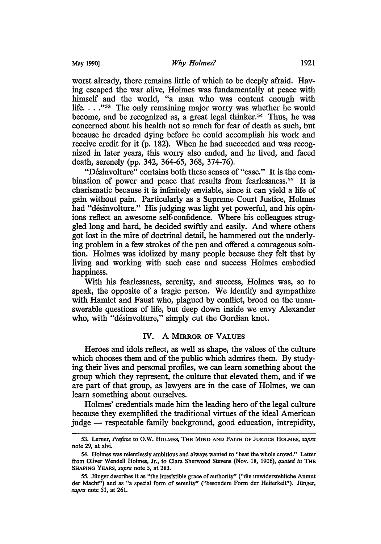worst already, there remains little of which to be deeply afraid. Having escaped the war alive, Holmes was fundamentally at peace with himself and the world, "a man who was content enough with life...."<sup>53</sup> The only remaining major worry was whether he would become, and be recognized as, a great legal thinker.<sup>54</sup> Thus, he was concerned about his health not so much for fear of death as such, but because he dreaded dying before he could accomplish his work and receive credit for it (p. 182). When he had succeeded and was recognized in later years, this worry also ended, and he lived, and faced death, serenely (pp. 342, 364-65, 368, 374-76).

"Desinvolture" contains both these senses of "ease." It is the combination of power and peace that results from fearlessness. *ss* It is charismatic because it is infinitely enviable, since it can yield a life of gain without pain. Particularly as a Supreme Court Justice, Holmes had "désinvolture." His judging was light yet powerful, and his opinions reflect an awesome self-confidence. Where his colleagues struggled long and hard, he decided swiftly and easily. And where others got lost in the mire of doctrinal detail, he hammered out the underlying problem in a few strokes of the pen and offered a courageous solution. Holmes was idolized by many people because they felt that by living and working with such ease and success Holmes embodied happiness.

With his fearlessness, serenity, and success, Holmes was, so to speak, the opposite of a tragic person. We identify and sympathize with Hamlet and Faust who, plagued by conflict, brood on the unanswerable questions of life, but deep down inside we envy Alexander who, with "désinvolture," simply cut the Gordian knot.

#### IV. A MIRROR OF VALUES

Heroes and idols reflect, as well as shape, the values of the culture which chooses them and of the public which admires them. By studying their lives and personal profiles, we can learn something about the group which they represent, the culture that elevated them, and if we are part of that group, as lawyers are in the case of Holmes, we can learn something about ourselves.

Holmes' credentials made him the leading hero of the legal culture because they exemplified the traditional virtues of the ideal American judge — respectable family background, good education, intrepidity,

<sup>53.</sup> Lerner, *Preface* to o.w. HOLMES, THE MIND AND FAITH OF JUSTICE HOLMES, *supra*  note 29, at xlvi.

<sup>54.</sup> Holmes was relentlessly ambitious and always wanted to "beat the whole crowd." Letter from Oliver Wendell Holmes, Jr., to Clara Sherwood Stevens (Nov. 18, 1906), *quoted in* THE SHAPING YEARS, *supra* note 5, at 283.

<sup>55.</sup> Jiinger describes it as "the irresistible grace of authority" ("die unwiderstehliche Anmut der Macht") and as "a special form of serenity" ("besondere Form der Heiterkeit"). Jiinger, *supra* note 51, at 261.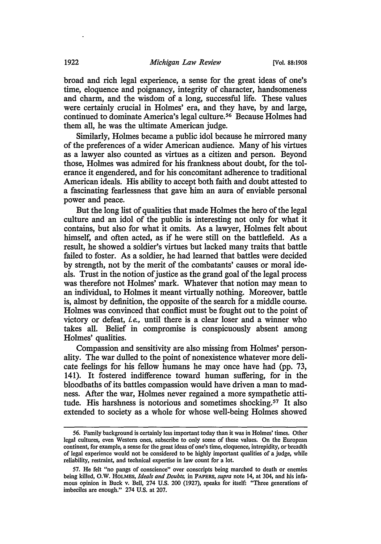broad and rich legal experience, a sense for the great ideas of one's time, eloquence and poignancy, integrity of character, handsomeness and charm, and the wisdom of a long, successful life. These values were certainly crucial in Holmes' era, and they have, by and large, continued to dominate America's legal culture.<sup>56</sup> Because Holmes had them all, he was the ultimate American judge.

Similarly, Holmes became a public idol because he mirrored many of the preferences of a wider American audience. Many of his virtues as a lawyer also counted as virtues as a citizen and person. Beyond those, Holmes was admired for his frankness about doubt, for the tolerance it engendered, and for his concomitant adherence to traditional American ideals. His ability to accept both faith and doubt attested to a fascinating fearlessness that gave him an aura of enviable personal power and peace.

But the long list of qualities that made Holmes the hero of the legal culture and an idol of the public is interesting not only for what it contains, but also for what it omits. As a lawyer, Holmes felt about himself, and often acted, as if he were still on the battlefield. As a result, he showed a soldier's virtues but lacked many traits that battle failed to foster. As a soldier, he had learned that battles were decided by strength, not by the merit of the combatants' causes or moral ideals. Trust in the notion of justice as the grand goal of the legal process was therefore not Holmes' mark. Whatever that notion may mean to an individual, to Holmes it meant virtually nothing. Moreover, battle is, almost by definition, the opposite of the search for a middle course. Holmes was convinced that conflict must be fought out to the point of victory or defeat, *le.,* until there is a clear loser and a winner who takes all. Belief in compromise is conspicuously absent among Holmes' qualities.

Compassion and sensitivity are also missing from Holmes' personality. The war dulled to the point of nonexistence whatever more delicate feelings for his fellow humans he may once have had (pp. 73, 141). It fostered indifference toward human suffering, for in the bloodbaths of its battles compassion would have driven a man to madness. After the war, Holmes never regained a more sympathetic attitude. His harshness is notorious and sometimes shocking.<sup>57</sup> It also extended to society as a whole for whose well-being Holmes showed

<sup>56.</sup> Family background is certainly less important today than it was in Holmes' times. Other legal cultures, even Western ones, subscribe to only some of these values. On the European continent, for example, a sense for the great ideas of one's time, eloquence, intrepidity, or breadth of legal experience would not be considered to be highly important qualities of a judge, while reliability, restraint, and technical expertise in law count for a lot.

<sup>57.</sup> He felt "no pangs of conscience" over conscripts being marched to death or enemies being killed, O.W. HOLMES, *Ideals and Doubts,* in PAPERS, *supra* note 14, at 304, and his infamous opinion in Buck v. Bell, 274 U.S. 200 (1927), speaks for itself: "Three generations of imbeciles are enough." 274 U.S. at 207.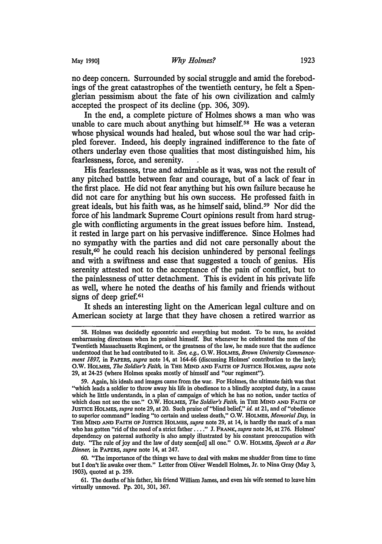no deep concern. Surrounded by social struggle and amid the forebodings of the great catastrophes of the twentieth century, he felt a Spenglerian pessimism about the fate of his own civilization and calmly accepted the prospect of its decline (pp. 306, 309).

In the end, a complete picture of Holmes shows a man who was unable to care much about anything but himself.<sup>58</sup> He was a veteran whose physical wounds had healed, but whose soul the war had crippled forever. Indeed, his deeply ingrained indifference to the fate of others underlay even those qualities that most distinguished him, his fearlessness, force, and serenity.

His fearlessness, true and admirable as it was, was not the result of any pitched battle between fear and courage, but of a lack of fear in the first place. He did not fear anything but his own failure because he did not care for anything but his own success. He professed faith in great ideals, but his faith was, as he himself said, blind.59 Nor did the force of his landmark Supreme Court opinions result from hard struggle with conflicting arguments in the great issues before him. Instead, it rested in large part on his pervasive indifference. Since Holmes had no sympathy with the parties and did not care personally about the result, 60 he could reach his decision unhindered by personal feelings and with a swiftness and ease that suggested a touch of genius. His serenity attested not to the acceptance of the pain of conflict, but to the painlessness of utter detachment. This is evident in his private life as well, where he noted the deaths of his family and friends without signs of deep grief.<sup>61</sup>

It sheds an interesting light on the American legal culture and on American society at large that they have chosen a retired warrior as

<sup>58.</sup> Holmes was decidedly egocentric and everything but modest. To be sure, he avoided embarrassing directness when he praised himself. But whenever he celebrated the men of the Twentieth Massachusetts Regiment, or the greatness of the law, he made sure that the audience understood that he had contributed to it. *See, e.g.,* O.W. HOLMES, *Brown University Commencement 1897,* in PAPERS, *supra* note 14, at 164-66 (discussing Holmes' contribution to the law); o.w. HOLMES, *The Soldier's Faith,* in THE MIND AND FAITH OF JUSTICE HOLMES, *supra* note 29, at 24-25 (where Holmes speaks mostly of himself and "our regiment").

<sup>59.</sup> Again, his ideals and images came from the war. For Holmes, the ultimate faith was that "which leads a soldier to throw away his life in obedience to a blindly accepted duty, in a cause which he little understands, in a plan of campaign of which he has no notion, under tactics of which does not see the use." O.W. HOLMES, *The Soldier's Faith*, in THE MIND AND FAITH OF JUSTICE HOLMES, *supra* note 29, at 20. Such praise of "blind belief," *id.* at 21, and of "obedience to superior command" leading "to certain and useless death," O.W. HOLMES, *Memorial Day,* in THE MIND AND FAITH OF JUSTICE HOLMES, *supra* note 29, at 14, is hardly the mark of a man who has gotten "rid of the need of a strict father .... " J. FRANK, *supra* note 36, at 276. Holmes' dependency on paternal authority is also amply illustrated by his constant preoccupation with duty. "The rule of joy and the law of duty seem[ed] all one." O.W. HOLMES, *Speech at a Bar Dinner,* in PAPERS, *supra* note 14, at 247.

<sup>60. &</sup>quot;The importance of the things we have to deal with makes me shudder from time to time but I don't lie awake over them." Letter from Oliver Wendell Holmes, Jr. to Nina Gray (May 3, 1903), quoted at p. 259.

<sup>61.</sup> The deaths of his father, his friend William James, and even his wife seemed to leave him virtually unmoved. Pp. 201, 301, 367.